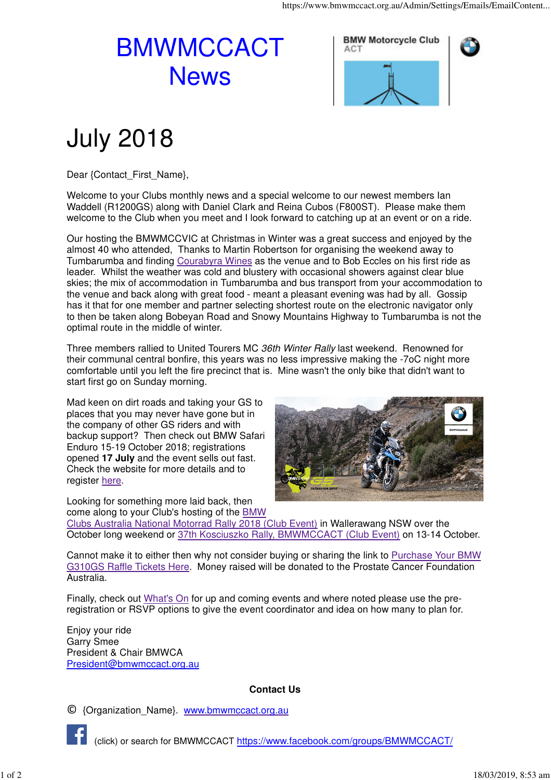## BMWMCCACT **News**



## July 2018

Dear {Contact\_First\_Name},

Welcome to your Clubs monthly news and a special welcome to our newest members Ian Waddell (R1200GS) along with Daniel Clark and Reina Cubos (F800ST). Please make them welcome to the Club when you meet and I look forward to catching up at an event or on a ride.

Our hosting the BMWMCCVIC at Christmas in Winter was a great success and enjoyed by the almost 40 who attended, Thanks to Martin Robertson for organising the weekend away to Tumbarumba and finding Courabyra Wines as the venue and to Bob Eccles on his first ride as leader. Whilst the weather was cold and blustery with occasional showers against clear blue skies; the mix of accommodation in Tumbarumba and bus transport from your accommodation to the venue and back along with great food - meant a pleasant evening was had by all. Gossip has it that for one member and partner selecting shortest route on the electronic navigator only to then be taken along Bobeyan Road and Snowy Mountains Highway to Tumbarumba is not the optimal route in the middle of winter.

Three members rallied to United Tourers MC 36th Winter Rally last weekend. Renowned for their communal central bonfire, this years was no less impressive making the -7oC night more comfortable until you left the fire precinct that is. Mine wasn't the only bike that didn't want to start first go on Sunday morning.

Mad keen on dirt roads and taking your GS to places that you may never have gone but in the company of other GS riders and with backup support? Then check out BMW Safari Enduro 15-19 October 2018; registrations opened **17 July** and the event sells out fast. Check the website for more details and to register here.

Looking for something more laid back, then



come along to your Club's hosting of the BMW Clubs Australia National Motorrad Rally 2018 (Club Event) in Wallerawang NSW over the October long weekend or 37th Kosciuszko Rally, BMWMCCACT (Club Event) on 13-14 October.

Cannot make it to either then why not consider buying or sharing the link to Purchase Your BMW G310GS Raffle Tickets Here. Money raised will be donated to the Prostate Cancer Foundation Australia.

Finally, check out What's On for up and coming events and where noted please use the preregistration or RSVP options to give the event coordinator and idea on how many to plan for.

Enjoy your ride Garry Smee President & Chair BMWCA President@bmwmccact.org.au

## **Contact Us**

© {Organization\_Name}. www.bmwmccact.org.au